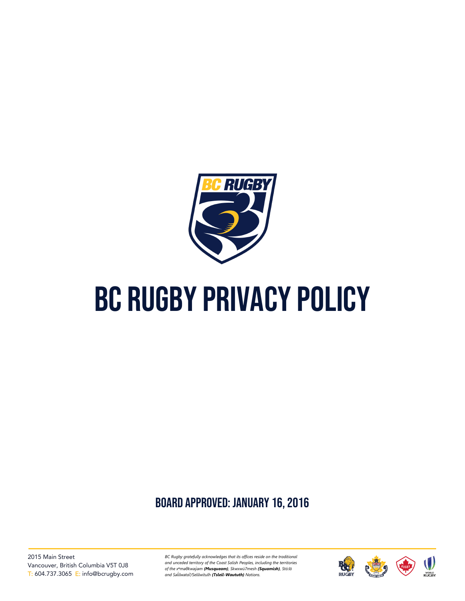

# BC RUGBY PRIVACY POLICY

board approved: January 16, 2016

2015 Main Street Vancouver, British Columbia V5T 0J8 T: 604.737.3065 E: info@bcrugby.com *BC Rugby gratefully acknowledges that its offices reside on the traditional and unceded territory of the Coast Salish Peoples, including the territories of the xʷməθkwəy̓əm (Musqueam), Skwxwú7mesh (Squamish), Stó:lō and Səl̓ ílwətaʔ/Selilwitulh (Tsleil-Waututh) Nations.*

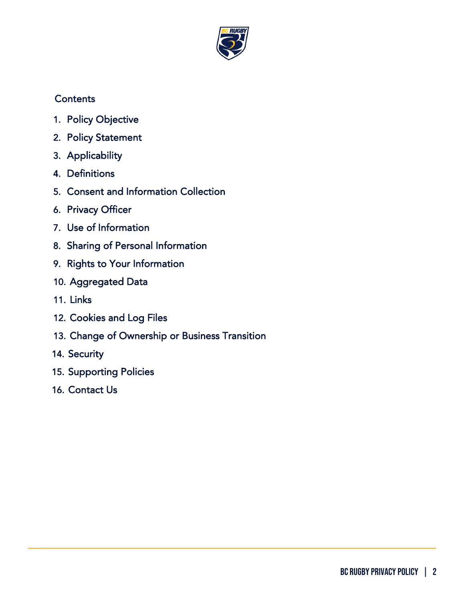

## **Contents**

- 1. [Policy Objective](#page-2-0)
- 2. [Policy Statement](#page-2-1)
- 3. [Applicability](#page-2-2)
- 4. [Definitions](#page-2-3)
- 5. [Consent and Information Collection](#page-3-0)
- 6. [Privacy Officer](#page-4-0)
- 7. [Use of Information](#page-4-1)
- 8. [Sharing of Personal Information](#page-5-0)
- 9. [Rights to Your Information](#page-6-0)
- 10. [Aggregated Data](#page-6-1)
- 11. [Links](#page-6-2)
- 12. [Cookies and Log Files](#page-7-0)
- 13. [Change of Ownership or Business Transition](#page-7-1)
- 14. [Security](#page-7-2)
- 15. [Supporting Policies](#page-8-0)
- 16. [Contact Us](#page-8-1)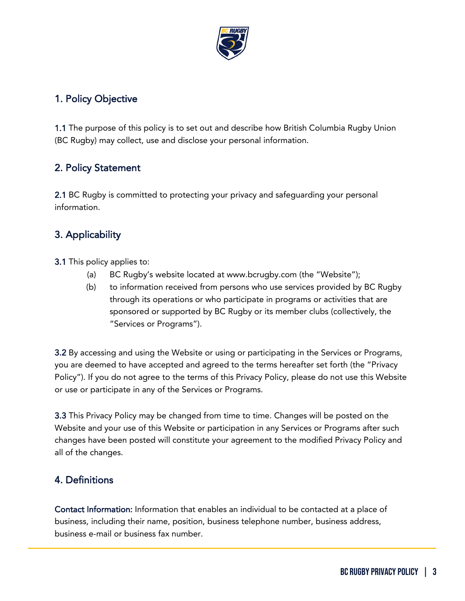

#### <span id="page-2-0"></span>1. Policy Objective

1.1 The purpose of this policy is to set out and describe how British Columbia Rugby Union (BC Rugby) may collect, use and disclose your personal information.

## <span id="page-2-1"></span>2. Policy Statement

2.1 BC Rugby is committed to protecting your privacy and safeguarding your personal information.

## <span id="page-2-2"></span>3. Applicability

3.1 This policy applies to:

- (a) BC Rugby's website located at www.bcrugby.com (the "Website");
- (b) to information received from persons who use services provided by BC Rugby through its operations or who participate in programs or activities that are sponsored or supported by BC Rugby or its member clubs (collectively, the "Services or Programs").

3.2 By accessing and using the Website or using or participating in the Services or Programs, you are deemed to have accepted and agreed to the terms hereafter set forth (the "Privacy Policy"). If you do not agree to the terms of this Privacy Policy, please do not use this Website or use or participate in any of the Services or Programs.

3.3 This Privacy Policy may be changed from time to time. Changes will be posted on the Website and your use of this Website or participation in any Services or Programs after such changes have been posted will constitute your agreement to the modified Privacy Policy and all of the changes.

#### <span id="page-2-3"></span>4. Definitions

Contact Information: Information that enables an individual to be contacted at a place of business, including their name, position, business telephone number, business address, business e-mail or business fax number.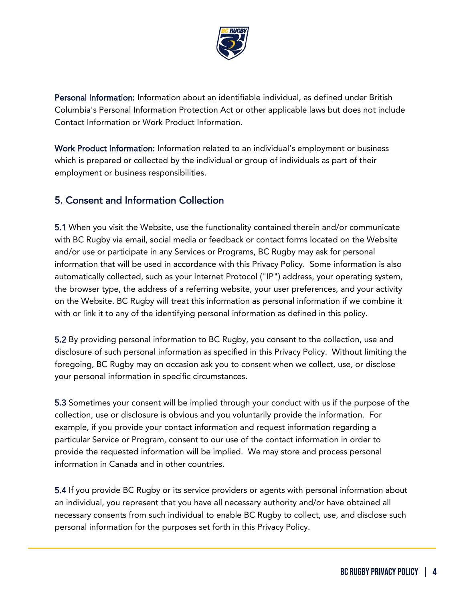

Personal Information: Information about an identifiable individual, as defined under British Columbia's Personal Information Protection Act or other applicable laws but does not include Contact Information or Work Product Information.

Work Product Information: Information related to an individual's employment or business which is prepared or collected by the individual or group of individuals as part of their employment or business responsibilities.

#### <span id="page-3-0"></span>5. Consent and Information Collection

5.1 When you visit the Website, use the functionality contained therein and/or communicate with BC Rugby via email, social media or feedback or contact forms located on the Website and/or use or participate in any Services or Programs, BC Rugby may ask for personal information that will be used in accordance with this Privacy Policy. Some information is also automatically collected, such as your Internet Protocol ("IP") address, your operating system, the browser type, the address of a referring website, your user preferences, and your activity on the Website. BC Rugby will treat this information as personal information if we combine it with or link it to any of the identifying personal information as defined in this policy.

5.2 By providing personal information to BC Rugby, you consent to the collection, use and disclosure of such personal information as specified in this Privacy Policy. Without limiting the foregoing, BC Rugby may on occasion ask you to consent when we collect, use, or disclose your personal information in specific circumstances.

5.3 Sometimes your consent will be implied through your conduct with us if the purpose of the collection, use or disclosure is obvious and you voluntarily provide the information. For example, if you provide your contact information and request information regarding a particular Service or Program, consent to our use of the contact information in order to provide the requested information will be implied. We may store and process personal information in Canada and in other countries.

5.4 If you provide BC Rugby or its service providers or agents with personal information about an individual, you represent that you have all necessary authority and/or have obtained all necessary consents from such individual to enable BC Rugby to collect, use, and disclose such personal information for the purposes set forth in this Privacy Policy.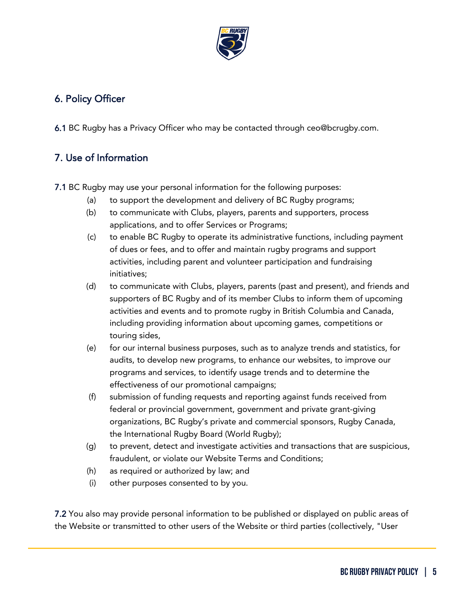

# <span id="page-4-0"></span>6. Policy Officer

6.1 BC Rugby has a Privacy Officer who may be contacted through ceo@bcrugby.com.

## <span id="page-4-1"></span>7. Use of Information

7.1 BC Rugby may use your personal information for the following purposes:

- (a) to support the development and delivery of BC Rugby programs;
- (b) to communicate with Clubs, players, parents and supporters, process applications, and to offer Services or Programs;
- (c) to enable BC Rugby to operate its administrative functions, including payment of dues or fees, and to offer and maintain rugby programs and support activities, including parent and volunteer participation and fundraising initiatives;
- (d) to communicate with Clubs, players, parents (past and present), and friends and supporters of BC Rugby and of its member Clubs to inform them of upcoming activities and events and to promote rugby in British Columbia and Canada, including providing information about upcoming games, competitions or touring sides,
- (e) for our internal business purposes, such as to analyze trends and statistics, for audits, to develop new programs, to enhance our websites, to improve our programs and services, to identify usage trends and to determine the effectiveness of our promotional campaigns;
- (f) submission of funding requests and reporting against funds received from federal or provincial government, government and private grant-giving organizations, BC Rugby's private and commercial sponsors, Rugby Canada, the International Rugby Board (World Rugby);
- (g) to prevent, detect and investigate activities and transactions that are suspicious, fraudulent, or violate our Website Terms and Conditions;
- (h) as required or authorized by law; and
- (i) other purposes consented to by you.

7.2 You also may provide personal information to be published or displayed on public areas of the Website or transmitted to other users of the Website or third parties (collectively, "User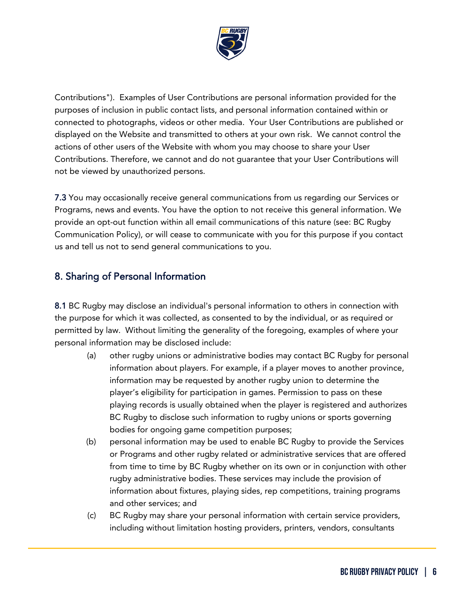

Contributions"). Examples of User Contributions are personal information provided for the purposes of inclusion in public contact lists, and personal information contained within or connected to photographs, videos or other media. Your User Contributions are published or displayed on the Website and transmitted to others at your own risk. We cannot control the actions of other users of the Website with whom you may choose to share your User Contributions. Therefore, we cannot and do not guarantee that your User Contributions will not be viewed by unauthorized persons.

7.3 You may occasionally receive general communications from us regarding our Services or Programs, news and events. You have the option to not receive this general information. We provide an opt-out function within all email communications of this nature (see: BC Rugby Communication Policy), or will cease to communicate with you for this purpose if you contact us and tell us not to send general communications to you.

#### <span id="page-5-0"></span>8. Sharing of Personal Information

8.1 BC Rugby may disclose an individual's personal information to others in connection with the purpose for which it was collected, as consented to by the individual, or as required or permitted by law. Without limiting the generality of the foregoing, examples of where your personal information may be disclosed include:

- (a) other rugby unions or administrative bodies may contact BC Rugby for personal information about players. For example, if a player moves to another province, information may be requested by another rugby union to determine the player's eligibility for participation in games. Permission to pass on these playing records is usually obtained when the player is registered and authorizes BC Rugby to disclose such information to rugby unions or sports governing bodies for ongoing game competition purposes;
- (b) personal information may be used to enable BC Rugby to provide the Services or Programs and other rugby related or administrative services that are offered from time to time by BC Rugby whether on its own or in conjunction with other rugby administrative bodies. These services may include the provision of information about fixtures, playing sides, rep competitions, training programs and other services; and
- (c) BC Rugby may share your personal information with certain service providers, including without limitation hosting providers, printers, vendors, consultants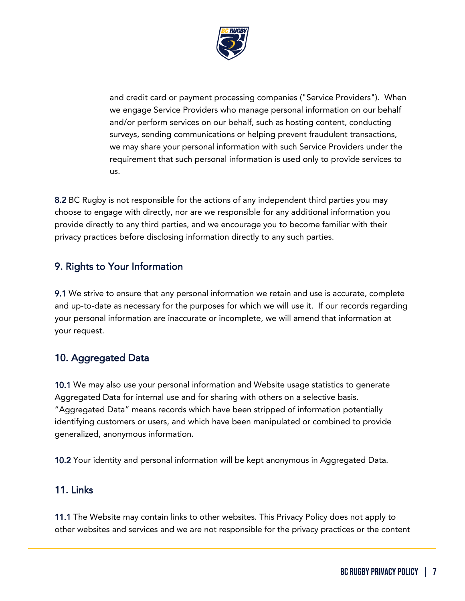

and credit card or payment processing companies ("Service Providers"). When we engage Service Providers who manage personal information on our behalf and/or perform services on our behalf, such as hosting content, conducting surveys, sending communications or helping prevent fraudulent transactions, we may share your personal information with such Service Providers under the requirement that such personal information is used only to provide services to us.

8.2 BC Rugby is not responsible for the actions of any independent third parties you may choose to engage with directly, nor are we responsible for any additional information you provide directly to any third parties, and we encourage you to become familiar with their privacy practices before disclosing information directly to any such parties.

#### <span id="page-6-0"></span>9. Rights to Your Information

9.1 We strive to ensure that any personal information we retain and use is accurate, complete and up-to-date as necessary for the purposes for which we will use it. If our records regarding your personal information are inaccurate or incomplete, we will amend that information at your request.

#### <span id="page-6-1"></span>10. Aggregated Data

10.1 We may also use your personal information and Website usage statistics to generate Aggregated Data for internal use and for sharing with others on a selective basis. "Aggregated Data" means records which have been stripped of information potentially identifying customers or users, and which have been manipulated or combined to provide generalized, anonymous information.

10.2 Your identity and personal information will be kept anonymous in Aggregated Data.

#### <span id="page-6-2"></span>11. Links

11.1 The Website may contain links to other websites. This Privacy Policy does not apply to other websites and services and we are not responsible for the privacy practices or the content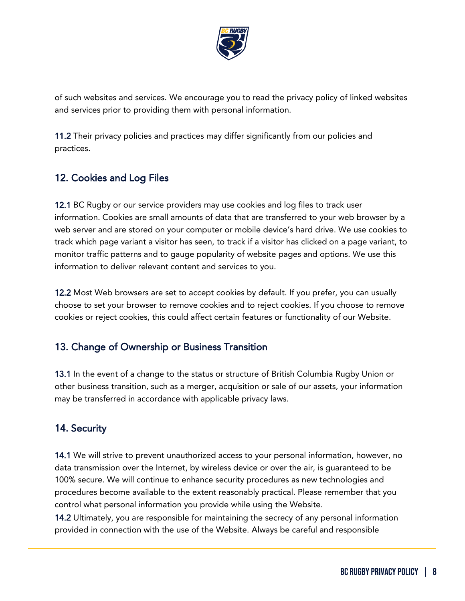

of such websites and services. We encourage you to read the privacy policy of linked websites and services prior to providing them with personal information.

11.2 Their privacy policies and practices may differ significantly from our policies and practices.

## <span id="page-7-0"></span>12. Cookies and Log Files

12.1 BC Rugby or our service providers may use cookies and log files to track user information. Cookies are small amounts of data that are transferred to your web browser by a web server and are stored on your computer or mobile device's hard drive. We use cookies to track which page variant a visitor has seen, to track if a visitor has clicked on a page variant, to monitor traffic patterns and to gauge popularity of website pages and options. We use this information to deliver relevant content and services to you.

12.2 Most Web browsers are set to accept cookies by default. If you prefer, you can usually choose to set your browser to remove cookies and to reject cookies. If you choose to remove cookies or reject cookies, this could affect certain features or functionality of our Website.

#### <span id="page-7-1"></span>13. Change of Ownership or Business Transition

13.1 In the event of a change to the status or structure of British Columbia Rugby Union or other business transition, such as a merger, acquisition or sale of our assets, your information may be transferred in accordance with applicable privacy laws.

# <span id="page-7-2"></span>14. Security

14.1 We will strive to prevent unauthorized access to your personal information, however, no data transmission over the Internet, by wireless device or over the air, is guaranteed to be 100% secure. We will continue to enhance security procedures as new technologies and procedures become available to the extent reasonably practical. Please remember that you control what personal information you provide while using the Website.

14.2 Ultimately, you are responsible for maintaining the secrecy of any personal information provided in connection with the use of the Website. Always be careful and responsible